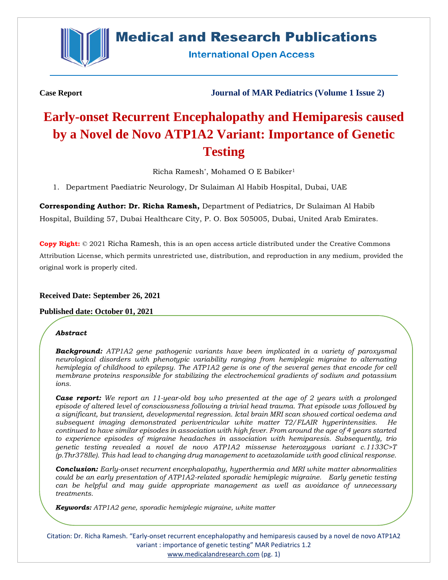

# **Medical and Research Publications**

**International Open Access** 

**Case Report Journal of MAR Pediatrics (Volume 1 Issue 2)**

# **Early-onset Recurrent Encephalopathy and Hemiparesis caused by a Novel de Novo ATP1A2 Variant: Importance of Genetic Testing**

Richa Ramesh\* , Mohamed O E Babiker<sup>1</sup>

1. Department Paediatric Neurology, Dr Sulaiman Al Habib Hospital, Dubai, UAE

**Corresponding Author: Dr. Richa Ramesh,** Department of Pediatrics, Dr Sulaiman Al Habib Hospital, Building 57, Dubai Healthcare City, P. O. Box 505005, Dubai, United Arab Emirates.

**Copy Right:** © 2021 Richa Ramesh, this is an open access article distributed under the Creative Commons Attribution License, which permits unrestricted use, distribution, and reproduction in any medium, provided the original work is properly cited.

# **Received Date: September 26, 2021**

# **Published date: October 01, 2021**

#### *Abstract*

*Background: ATP1A2 gene pathogenic variants have been implicated in a variety of paroxysmal neurological disorders with phenotypic variability ranging from hemiplegic migraine to alternating hemiplegia of childhood to epilepsy. The ATP1A2 gene is one of the several genes that encode for cell membrane proteins responsible for stabilizing the electrochemical gradients of sodium and potassium ions.* 

*Case report: We report an 11-year-old boy who presented at the age of 2 years with a prolonged episode of altered level of consciousness following a trivial head trauma. That episode was followed by a significant, but transient, developmental regression. Ictal brain MRI scan showed cortical oedema and subsequent imaging demonstrated periventricular white matter T2/FLAIR hyperintensities. He continued to have similar episodes in association with high fever. From around the age of 4 years started to experience episodes of migraine headaches in association with hemiparesis. Subsequently, trio genetic testing revealed a novel de novo ATP1A2 missense heterozygous variant c.1133C>T (p.Thr378Ile). This had lead to changing drug management to acetazolamide with good clinical response.*

*Conclusion: Early-onset recurrent encephalopathy, hyperthermia and MRI white matter abnormalities could be an early presentation of ATP1A2-related sporadic hemiplegic migraine. Early genetic testing can be helpful and may guide appropriate management as well as avoidance of unnecessary treatments.* 

*Keywords: ATP1A2 gene, sporadic hemiplegic migraine, white matter*

Citation: Dr. Richa Ramesh. "Early-onset recurrent encephalopathy and hemiparesis caused by a novel de novo ATP1A2 variant : importance of genetic testing" MAR Pediatrics 1.2 [www.medicalandresearch.com](http://www.medicalandresearch.com/) (pg. 1)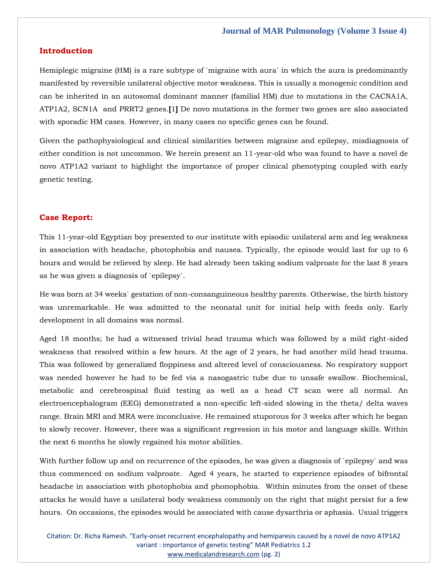# **Introduction**

Hemiplegic migraine (HM) is a rare subtype of `migraine with aura` in which the aura is predominantly manifested by reversible unilateral objective motor weakness. This is usually a monogenic condition and can be inherited in an autosomal dominant manner (familial HM) due to mutations in the CACNA1A, ATP1A2, SCN1A and PRRT2 genes.**[**1**]** De novo mutations in the former two genes are also associated with sporadic HM cases. However, in many cases no specific genes can be found.

Given the pathophysiological and clinical similarities between migraine and epilepsy, misdiagnosis of either condition is not uncommon. We herein present an 11-year-old who was found to have a novel de novo ATP1A2 variant to highlight the importance of proper clinical phenotyping coupled with early genetic testing.

#### **Case Report:**

This 11-year-old Egyptian boy presented to our institute with episodic unilateral arm and leg weakness in association with headache, photophobia and nausea. Typically, the episode would last for up to 6 hours and would be relieved by sleep. He had already been taking sodium valproate for the last 8 years as he was given a diagnosis of `epilepsy`.

He was born at 34 weeks` gestation of non-consanguineous healthy parents. Otherwise, the birth history was unremarkable. He was admitted to the neonatal unit for initial help with feeds only. Early development in all domains was normal.

Aged 18 months; he had a witnessed trivial head trauma which was followed by a mild right-sided weakness that resolved within a few hours. At the age of 2 years, he had another mild head trauma. This was followed by generalized floppiness and altered level of consciousness. No respiratory support was needed however he had to be fed via a nasogastric tube due to unsafe swallow. Biochemical, metabolic and cerebrospinal fluid testing as well as a head CT scan were all normal. An electroencephalogram (EEG) demonstrated a non-specific left-sided slowing in the theta/ delta waves range. Brain MRI and MRA were inconclusive. He remained stuporous for 3 weeks after which he began to slowly recover. However, there was a significant regression in his motor and language skills. Within the next 6 months he slowly regained his motor abilities.

With further follow up and on recurrence of the episodes, he was given a diagnosis of `epilepsy` and was thus commenced on sodium valproate. Aged 4 years, he started to experience episodes of bifrontal headache in association with photophobia and phonophobia. Within minutes from the onset of these attacks he would have a unilateral body weakness commonly on the right that might persist for a few hours. On occasions, the episodes would be associated with cause dysarthria or aphasia. Usual triggers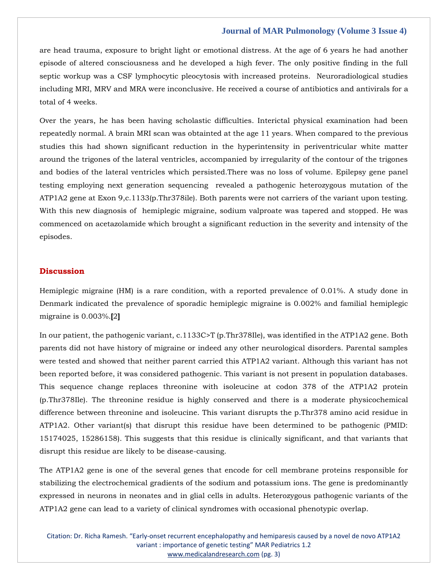#### **Journal of MAR Pulmonology (Volume 3 Issue 4)**

are head trauma, exposure to bright light or emotional distress. At the age of 6 years he had another episode of altered consciousness and he developed a high fever. The only positive finding in the full septic workup was a CSF lymphocytic pleocytosis with increased proteins. Neuroradiological studies including MRI, MRV and MRA were inconclusive. He received a course of antibiotics and antivirals for a total of 4 weeks.

Over the years, he has been having scholastic difficulties. Interictal physical examination had been repeatedly normal. A brain MRI scan was obtainted at the age 11 years. When compared to the previous studies this had shown significant reduction in the hyperintensity in periventricular white matter around the trigones of the lateral ventricles, accompanied by irregularity of the contour of the trigones and bodies of the lateral ventricles which persisted.There was no loss of volume. Epilepsy gene panel testing employing next generation sequencing revealed a pathogenic heterozygous mutation of the ATP1A2 gene at Exon 9,c.1133(p.Thr378ile). Both parents were not carriers of the variant upon testing. With this new diagnosis of hemiplegic migraine, sodium valproate was tapered and stopped. He was commenced on acetazolamide which brought a significant reduction in the severity and intensity of the episodes.

#### **Discussion**

Hemiplegic migraine (HM) is a rare condition, with a reported prevalence of 0.01%. A study done in Denmark indicated the prevalence of sporadic hemiplegic migraine is 0.002% and familial hemiplegic migraine is 0.003%.**[**2**]**

In our patient, the pathogenic variant, c.1133C>T (p.Thr378Ile), was identified in the ATP1A2 gene. Both parents did not have history of migraine or indeed any other neurological disorders. Parental samples were tested and showed that neither parent carried this ATP1A2 variant. Although this variant has not been reported before, it was considered pathogenic. This variant is not present in population databases. This sequence change replaces threonine with isoleucine at codon 378 of the ATP1A2 protein (p.Thr378Ile). The threonine residue is highly conserved and there is a moderate physicochemical difference between threonine and isoleucine. This variant disrupts the p.Thr378 amino acid residue in ATP1A2. Other variant(s) that disrupt this residue have been determined to be pathogenic (PMID: 15174025, 15286158). This suggests that this residue is clinically significant, and that variants that disrupt this residue are likely to be disease-causing.

The ATP1A2 gene is one of the several genes that encode for cell membrane proteins responsible for stabilizing the electrochemical gradients of the sodium and potassium ions. The gene is predominantly expressed in neurons in neonates and in glial cells in adults. Heterozygous pathogenic variants of the ATP1A2 gene can lead to a variety of clinical syndromes with occasional phenotypic overlap.

Citation: Dr. Richa Ramesh. "Early-onset recurrent encephalopathy and hemiparesis caused by a novel de novo ATP1A2 variant : importance of genetic testing" MAR Pediatrics 1.2 [www.medicalandresearch.com](http://www.medicalandresearch.com/) (pg. 3)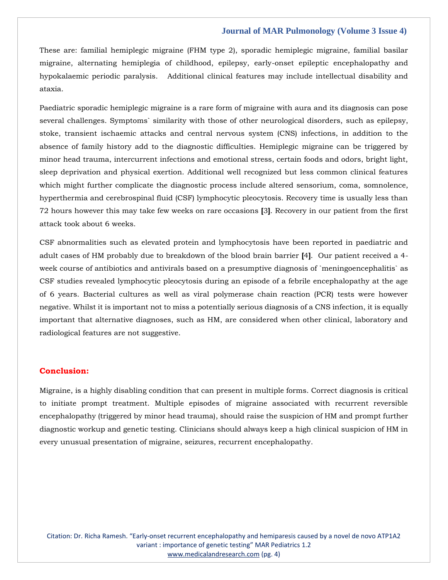#### **Journal of MAR Pulmonology (Volume 3 Issue 4)**

These are: familial hemiplegic migraine (FHM type 2), sporadic hemiplegic migraine, familial basilar migraine, alternating hemiplegia of childhood, epilepsy, early-onset epileptic encephalopathy and hypokalaemic periodic paralysis. Additional clinical features may include intellectual disability and ataxia.

Paediatric sporadic hemiplegic migraine is a rare form of migraine with aura and its diagnosis can pose several challenges. Symptoms` similarity with those of other neurological disorders, such as epilepsy, stoke, transient ischaemic attacks and central nervous system (CNS) infections, in addition to the absence of family history add to the diagnostic difficulties. Hemiplegic migraine can be triggered by minor head trauma, intercurrent infections and emotional stress, certain foods and odors, bright light, sleep deprivation and physical exertion. Additional well recognized but less common clinical features which might further complicate the diagnostic process include altered sensorium, coma, somnolence, hyperthermia and cerebrospinal fluid (CSF) lymphocytic pleocytosis. Recovery time is usually less than 72 hours however this may take few weeks on rare occasions **[**3**]**. Recovery in our patient from the first attack took about 6 weeks.

CSF abnormalities such as elevated protein and lymphocytosis have been reported in paediatric and adult cases of HM probably due to breakdown of the blood brain barrier **[**4**]**. Our patient received a 4 week course of antibiotics and antivirals based on a presumptive diagnosis of `meningoencephalitis` as CSF studies revealed lymphocytic pleocytosis during an episode of a febrile encephalopathy at the age of 6 years. Bacterial cultures as well as viral polymerase chain reaction (PCR) tests were however negative. Whilst it is important not to miss a potentially serious diagnosis of a CNS infection, it is equally important that alternative diagnoses, such as HM, are considered when other clinical, laboratory and radiological features are not suggestive.

# **Conclusion:**

Migraine, is a highly disabling condition that can present in multiple forms. Correct diagnosis is critical to initiate prompt treatment. Multiple episodes of migraine associated with recurrent reversible encephalopathy (triggered by minor head trauma), should raise the suspicion of HM and prompt further diagnostic workup and genetic testing. Clinicians should always keep a high clinical suspicion of HM in every unusual presentation of migraine, seizures, recurrent encephalopathy.